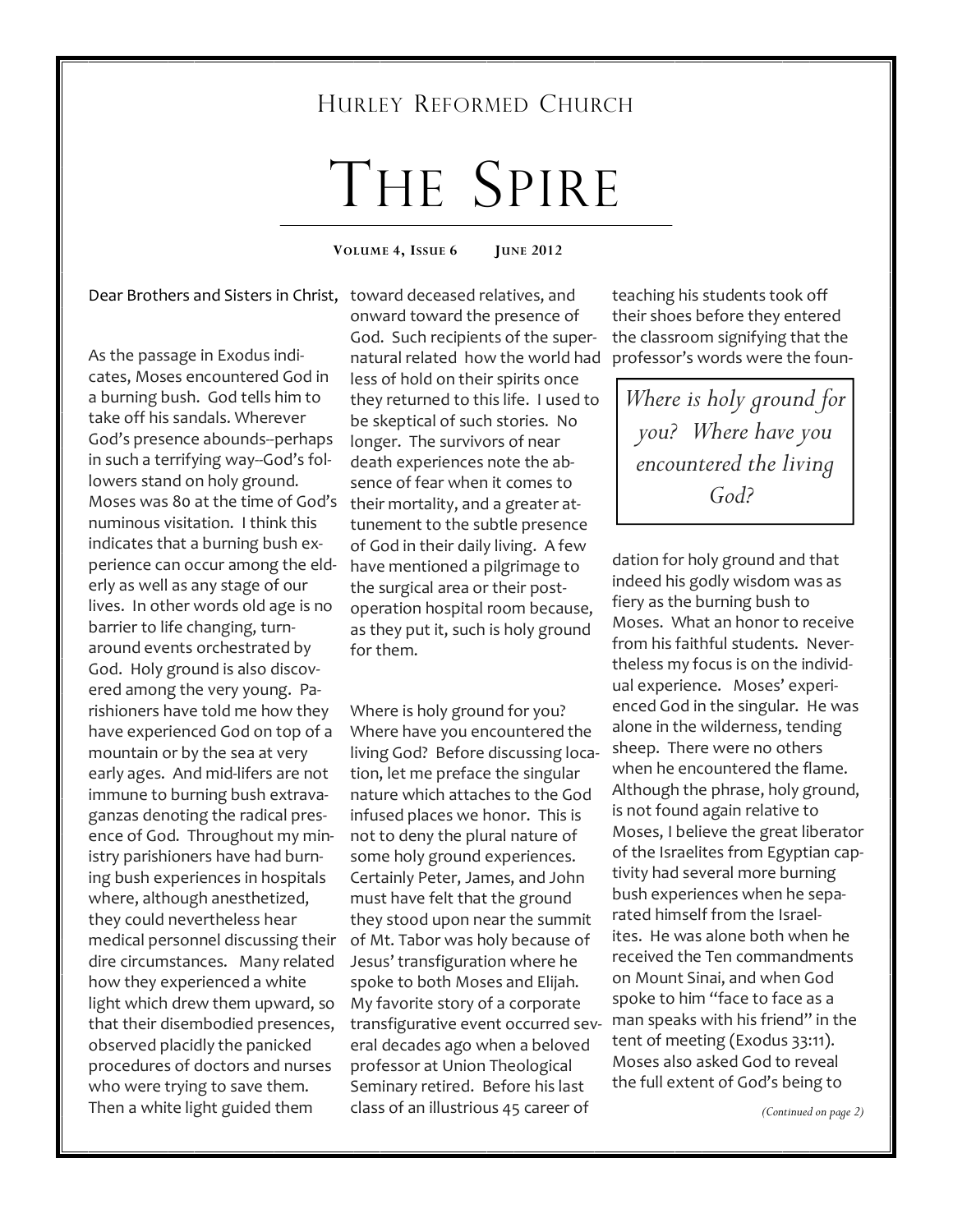#### HURLEY REFORMED CHURCH

# THE SPIRE

**VOLUME 4, ISSUE 6 JUNE 2012** 

Dear Brothers and Sisters in Christ, toward deceased relatives, and

As the passage in Exodus indicates, Moses encountered God in a burning bush. God tells him to take off his sandals. Wherever God's presence abounds--perhaps in such a terrifying way--God's followers stand on holy ground. Moses was 80 at the time of God's numinous visitation. I think this indicates that a burning bush experience can occur among the elderly as well as any stage of our lives. In other words old age is no barrier to life changing, turnaround events orchestrated by God. Holy ground is also discovered among the very young. Parishioners have told me how they have experienced God on top of a mountain or by the sea at very early ages. And mid-lifers are not immune to burning bush extravaganzas denoting the radical presence of God. Throughout my ministry parishioners have had burning bush experiences in hospitals where, although anesthetized, they could nevertheless hear medical personnel discussing their dire circumstances. Many related how they experienced a white light which drew them upward, so that their disembodied presences, observed placidly the panicked procedures of doctors and nurses who were trying to save them. Then a white light guided them

onward toward the presence of God. Such recipients of the supernatural related how the world had less of hold on their spirits once they returned to this life. I used to be skeptical of such stories. No longer. The survivors of near death experiences note the absence of fear when it comes to their mortality, and a greater attunement to the subtle presence of God in their daily living. A few have mentioned a pilgrimage to the surgical area or their postoperation hospital room because, as they put it, such is holy ground for them.

Where is holy ground for you? Where have you encountered the living God? Before discussing location, let me preface the singular nature which attaches to the God infused places we honor. This is not to deny the plural nature of some holy ground experiences. Certainly Peter, James, and John must have felt that the ground they stood upon near the summit of Mt. Tabor was holy because of Jesus' transfiguration where he spoke to both Moses and Elijah. My favorite story of a corporate transfigurative event occurred several decades ago when a beloved professor at Union Theological Seminary retired. Before his last class of an illustrious 45 career of

teaching his students took off their shoes before they entered the classroom signifying that the professor's words were the foun-

*Where is holy ground for you? Where have you encountered the living God?* 

dation for holy ground and that indeed his godly wisdom was as fiery as the burning bush to Moses. What an honor to receive from his faithful students. Nevertheless my focus is on the individual experience. Moses' experienced God in the singular. He was alone in the wilderness, tending sheep. There were no others when he encountered the flame. Although the phrase, holy ground, is not found again relative to Moses, I believe the great liberator of the Israelites from Egyptian captivity had several more burning bush experiences when he separated himself from the Israelites. He was alone both when he received the Ten commandments on Mount Sinai, and when God spoke to him "face to face as a man speaks with his friend" in the tent of meeting (Exodus 33:11). Moses also asked God to reveal the full extent of God's being to

*(Continued on page 2)*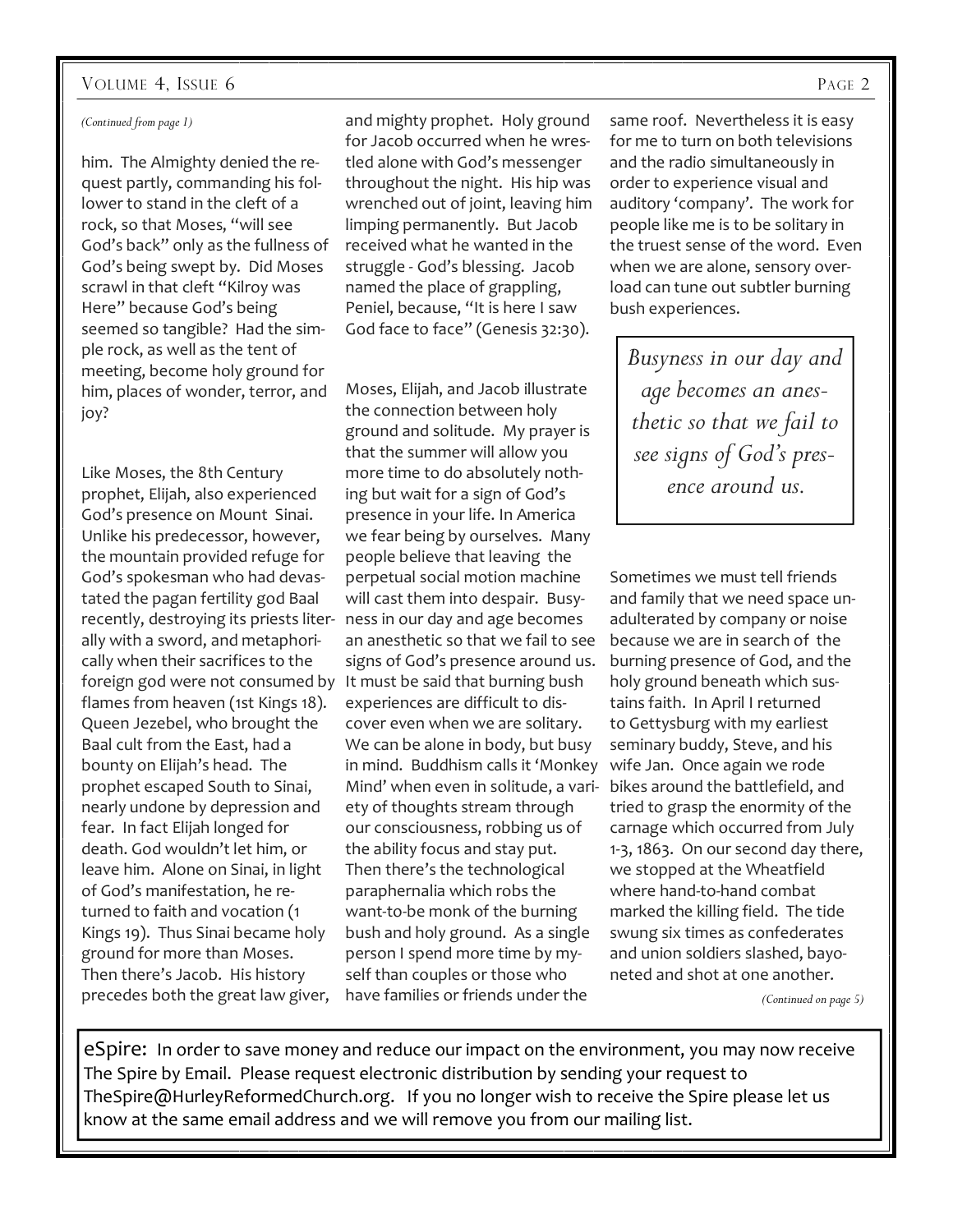#### VOLUME 4, ISSUE 6 PAGE 2

#### *(Continued from page 1)*

him. The Almighty denied the request partly, commanding his follower to stand in the cleft of a rock, so that Moses, "will see God's back" only as the fullness of God's being swept by. Did Moses scrawl in that cleft "Kilroy was Here" because God's being seemed so tangible? Had the simple rock, as well as the tent of meeting, become holy ground for him, places of wonder, terror, and joy?

Like Moses, the 8th Century prophet, Elijah, also experienced God's presence on Mount Sinai. Unlike his predecessor, however, the mountain provided refuge for God's spokesman who had devastated the pagan fertility god Baal recently, destroying its priests liter-ness in our day and age becomes ally with a sword, and metaphorically when their sacrifices to the foreign god were not consumed by It must be said that burning bush flames from heaven (1st Kings 18). Queen Jezebel, who brought the Baal cult from the East, had a bounty on Elijah's head. The prophet escaped South to Sinai, nearly undone by depression and fear. In fact Elijah longed for death. God wouldn't let him, or leave him. Alone on Sinai, in light of God's manifestation, he returned to faith and vocation (1 Kings 19). Thus Sinai became holy ground for more than Moses. Then there's Jacob. His history precedes both the great law giver,

and mighty prophet. Holy ground for Jacob occurred when he wrestled alone with God's messenger throughout the night. His hip was wrenched out of joint, leaving him limping permanently. But Jacob received what he wanted in the struggle - God's blessing. Jacob named the place of grappling, Peniel, because, "It is here I saw God face to face" (Genesis 32:30).

Moses, Elijah, and Jacob illustrate the connection between holy ground and solitude. My prayer is that the summer will allow you more time to do absolutely nothing but wait for a sign of God's presence in your life. In America we fear being by ourselves. Many people believe that leaving the perpetual social motion machine will cast them into despair. Busyan anesthetic so that we fail to see signs of God's presence around us. experiences are difficult to discover even when we are solitary. We can be alone in body, but busy in mind. Buddhism calls it 'Monkey Mind' when even in solitude, a variety of thoughts stream through our consciousness, robbing us of the ability focus and stay put. Then there's the technological paraphernalia which robs the want-to-be monk of the burning bush and holy ground. As a single person I spend more time by myself than couples or those who have families or friends under the

same roof. Nevertheless it is easy for me to turn on both televisions and the radio simultaneously in order to experience visual and auditory 'company'. The work for people like me is to be solitary in the truest sense of the word. Even when we are alone, sensory overload can tune out subtler burning bush experiences.

*Busyness in our day and age becomes an anesthetic so that we fail to see signs of God's presence around us.* 

Sometimes we must tell friends and family that we need space unadulterated by company or noise because we are in search of the burning presence of God, and the holy ground beneath which sustains faith. In April I returned to Gettysburg with my earliest seminary buddy, Steve, and his wife Jan. Once again we rode bikes around the battlefield, and tried to grasp the enormity of the carnage which occurred from July 1-3, 1863. On our second day there, we stopped at the Wheatfield where hand-to-hand combat marked the killing field. The tide swung six times as confederates and union soldiers slashed, bayoneted and shot at one another.

*(Continued on page 5)* 

eSpire: In order to save money and reduce our impact on the environment, you may now receive The Spire by Email. Please request electronic distribution by sending your request to TheSpire@HurleyReformedChurch.org. If you no longer wish to receive the Spire please let us know at the same email address and we will remove you from our mailing list.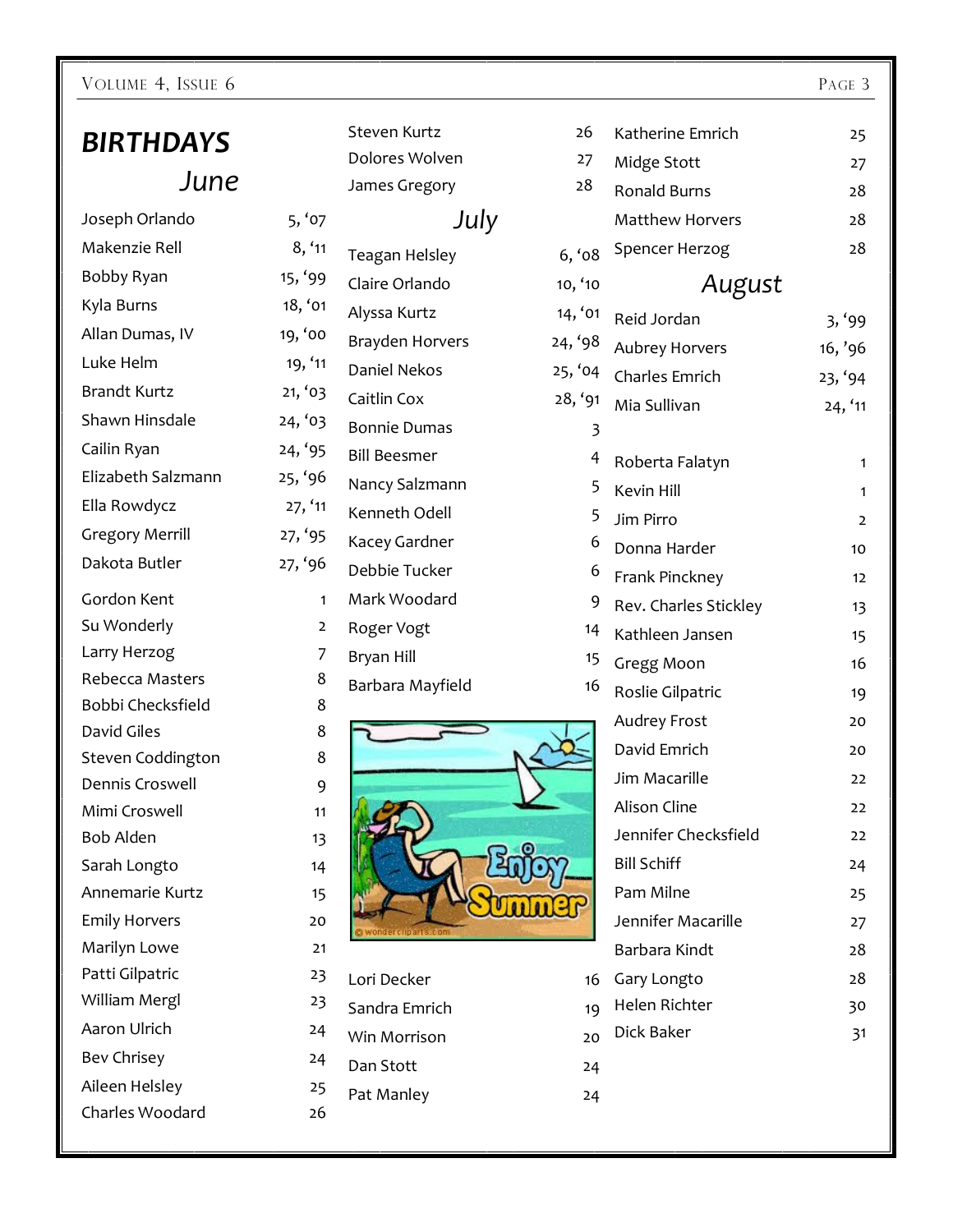#### VOLUME 4, ISSUE 6 PAGE 3

# *BIRTHDAYS June*

### Joseph Orlando 5, '0 Makenzie Rell 8, '1 Bobby Ryan 15, '9 Kyla Burns 18, 'c Allan Dumas, IV 19, '0 Luke Helm 19, ' Brandt Kurtz 21, '0 Shawn Hinsdale 24, '0 Cailin Ryan 24, '9 Elizabeth Salzmann 25, '9 Ella Rowdycz  $27,$  ' Gregory Merrill 27, '9 Dakota Butler 27, '9 Gordon Kent 1 Su Wonderly Larry Herzog 7 Rebecca Masters Bobbi Checksfield David Giles Steven Coddington Dennis Croswell 9 Mimi Croswell 11 Bob Alden 13 Sarah Longto 14 Annemarie Kurtz 15 Emily Horvers 20 Marilyn Lowe 21 Patti Gilpatric 23 William Mergl 23 Aaron Ulrich 24 Bev Chrisey 24 Aileen Helsley 25 Charles Woodard 26

|                | Steven Kurtz           | 26      |
|----------------|------------------------|---------|
|                | Dolores Wolven         | 27      |
|                | James Gregory          | 28      |
| )7             | July                   |         |
| 11             | Teagan Helsley         | 6, 68   |
| 19             | Claire Orlando         | 10, '10 |
| 01             | Alyssa Kurtz           | 14, '01 |
| O              | <b>Brayden Horvers</b> | 24, '98 |
| 11             | Daniel Nekos           | 25, '04 |
| )3             | Caitlin Cox            | 28, '91 |
| )3             | <b>Bonnie Dumas</b>    | 3       |
| 35             | <b>Bill Beesmer</b>    | 4       |
| 6              | Nancy Salzmann         | 5       |
| 11             | Kenneth Odell          | 5       |
| )5             | Kacey Gardner          | 6       |
| 6              | Debbie Tucker          | 6       |
| 1              | Mark Woodard           | 9       |
| $\overline{2}$ | Roger Vogt             | 14      |
| $\overline{7}$ | Bryan Hill             | 15      |
| 8              | Barbara Mayfield       | 16      |
| 8              |                        |         |
| 8              |                        |         |
| 8              |                        |         |
| 9              |                        |         |
| 11             |                        |         |

Lori Decker

Dan Stott Pat Manley

Sandra Emrich 19 Win Morrison

| :6      | Katherine Emrich       | 25             |  |  |  |  |  |
|---------|------------------------|----------------|--|--|--|--|--|
| $^{27}$ | Midge Stott            | 27             |  |  |  |  |  |
| 8       | <b>Ronald Burns</b>    | 28             |  |  |  |  |  |
|         | <b>Matthew Horvers</b> | 28             |  |  |  |  |  |
| ο8      | Spencer Herzog         | 28             |  |  |  |  |  |
| 40      | August                 |                |  |  |  |  |  |
| 6       | Reid Jordan            | 3, '99         |  |  |  |  |  |
| 98      | <b>Aubrey Horvers</b>  | 16, '96        |  |  |  |  |  |
| 04      | Charles Emrich         | 23, '94        |  |  |  |  |  |
| 91      | Mia Sullivan           | 24, '11        |  |  |  |  |  |
| 3       |                        |                |  |  |  |  |  |
| 4       | Roberta Falatyn        | 1              |  |  |  |  |  |
| 5       | <b>Kevin Hill</b>      | 1              |  |  |  |  |  |
| 5       | Jim Pirro              | $\overline{2}$ |  |  |  |  |  |
| 6       | Donna Harder           | 10             |  |  |  |  |  |
| 6       | Frank Pinckney         | 12             |  |  |  |  |  |
| 9       | Rev. Charles Stickley  | 13             |  |  |  |  |  |
| 14      | Kathleen Jansen        | 15             |  |  |  |  |  |
| 15      | Gregg Moon             | 16             |  |  |  |  |  |
| 16      | Roslie Gilpatric       | 19             |  |  |  |  |  |
|         | <b>Audrey Frost</b>    | 20             |  |  |  |  |  |
|         | David Emrich           | 20             |  |  |  |  |  |
|         | Jim Macarille          | 22             |  |  |  |  |  |
|         | <b>Alison Cline</b>    | 22             |  |  |  |  |  |
|         | Jennifer Checksfield   | 22             |  |  |  |  |  |
|         | <b>Bill Schiff</b>     | 24             |  |  |  |  |  |
|         | Pam Milne              | 25             |  |  |  |  |  |
|         | Jennifer Macarille     | 27             |  |  |  |  |  |
|         | Barbara Kindt          | 28             |  |  |  |  |  |
| 16      | Gary Longto            | 28             |  |  |  |  |  |
| 19      | Helen Richter          | 30             |  |  |  |  |  |
| 20      | Dick Baker             | 31             |  |  |  |  |  |
| 24      |                        |                |  |  |  |  |  |
| 24      |                        |                |  |  |  |  |  |
|         |                        |                |  |  |  |  |  |
|         |                        |                |  |  |  |  |  |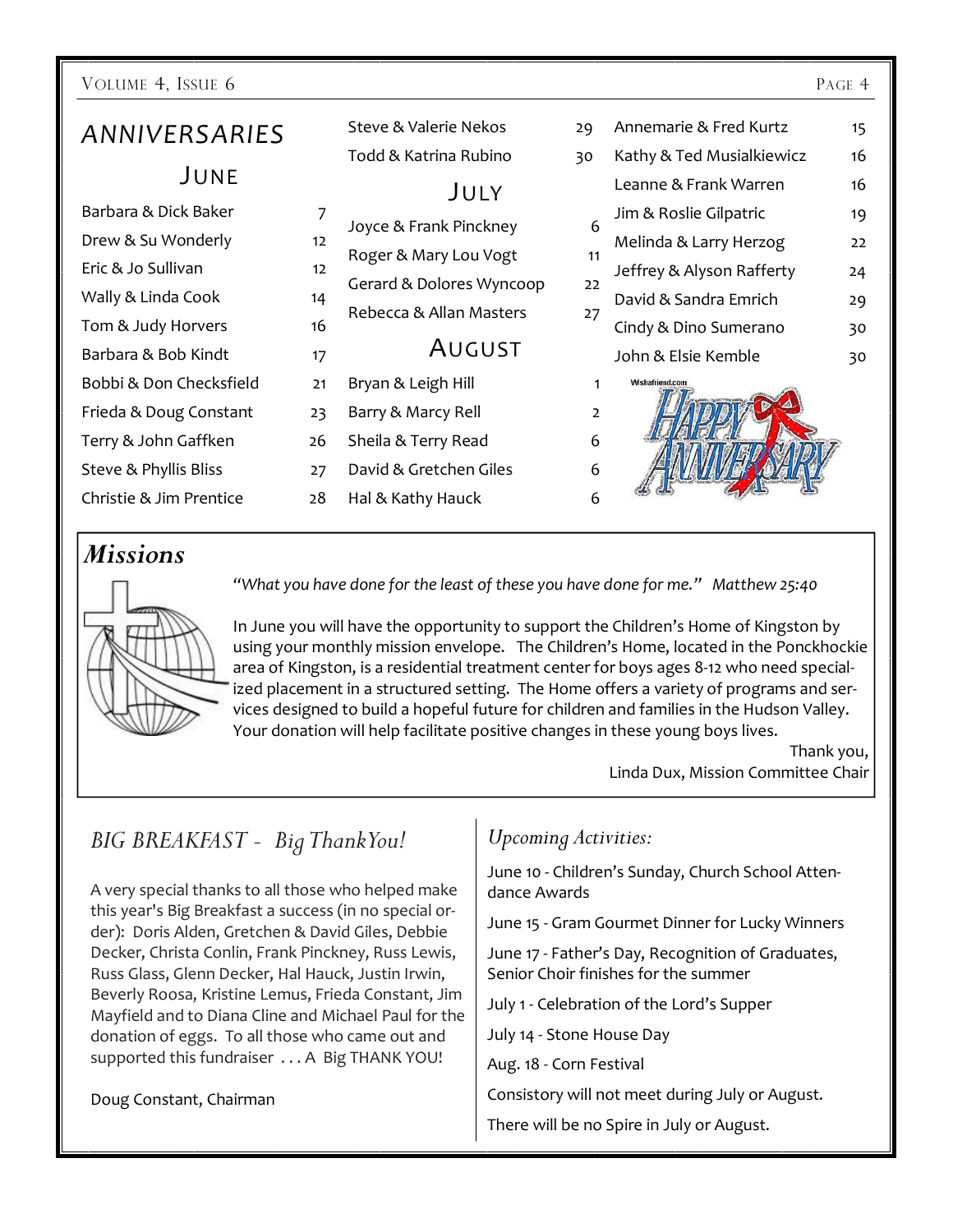| VOLUME 4, ISSUE 6       |    |                          |                |                           | PAGE 4 |
|-------------------------|----|--------------------------|----------------|---------------------------|--------|
| ANNIVERSARIES           |    | Steve & Valerie Nekos    | 29             | Annemarie & Fred Kurtz    | 15     |
|                         |    | Todd & Katrina Rubino    | 30             | Kathy & Ted Musialkiewicz | 16     |
| JUNE                    |    | JULY                     |                | Leanne & Frank Warren     | 16     |
| Barbara & Dick Baker    | 7  |                          |                | Jim & Roslie Gilpatric    | 19     |
| Drew & Su Wonderly      | 12 | Joyce & Frank Pinckney   | 6              | Melinda & Larry Herzog    | 22     |
| Eric & Jo Sullivan      | 12 | Roger & Mary Lou Vogt    | 11             | Jeffrey & Alyson Rafferty | 24     |
| Wally & Linda Cook      | 14 | Gerard & Dolores Wyncoop | 22             | David & Sandra Emrich     | 29     |
| Tom & Judy Horvers      | 16 | Rebecca & Allan Masters  | 27             | Cindy & Dino Sumerano     | 30     |
| Barbara & Bob Kindt     | 17 | <b>AUGUST</b>            |                | John & Elsie Kemble       | 30     |
| Bobbi & Don Checksfield | 21 | Bryan & Leigh Hill       | 1              | Wishafriend.com           |        |
| Frieda & Doug Constant  | 23 | Barry & Marcy Rell       | $\overline{2}$ |                           |        |
| Terry & John Gaffken    | 26 | Sheila & Terry Read      | 6              |                           |        |
| Steve & Phyllis Bliss   | 27 | David & Gretchen Giles   | 6              |                           |        |

#### *Missions*

Christie & Jim Prentice 28



*"What you have done for the least of these you have done for me." Matthew 25:40* 

Hal & Kathy Hauck 6

In June you will have the opportunity to support the Children's Home of Kingston by using your monthly mission envelope. The Children's Home, located in the Ponckhockie area of Kingston, is a residential treatment center for boys ages 8-12 who need specialized placement in a structured setting. The Home offers a variety of programs and services designed to build a hopeful future for children and families in the Hudson Valley. Your donation will help facilitate positive changes in these young boys lives.

> Thank you, Linda Dux, Mission Committee Chair

### *BIG BREAKFAST - Big Thank You!*

A very special thanks to all those who helped make this year's Big Breakfast a success (in no special order): Doris Alden, Gretchen & David Giles, Debbie Decker, Christa Conlin, Frank Pinckney, Russ Lewis, Russ Glass, Glenn Decker, Hal Hauck, Justin Irwin, Beverly Roosa, Kristine Lemus, Frieda Constant, Jim Mayfield and to Diana Cline and Michael Paul for the donation of eggs. To all those who came out and supported this fundraiser . . . A Big THANK YOU!

Doug Constant, Chairman

#### *Upcoming Activities:*

June 10 - Children's Sunday, Church School Attendance Awards

June 15 - Gram Gourmet Dinner for Lucky Winners

June 17 - Father's Day, Recognition of Graduates, Senior Choir finishes for the summer

July 1 - Celebration of the Lord's Supper

July 14 - Stone House Day

Aug. 18 - Corn Festival

Consistory will not meet during July or August.

There will be no Spire in July or August.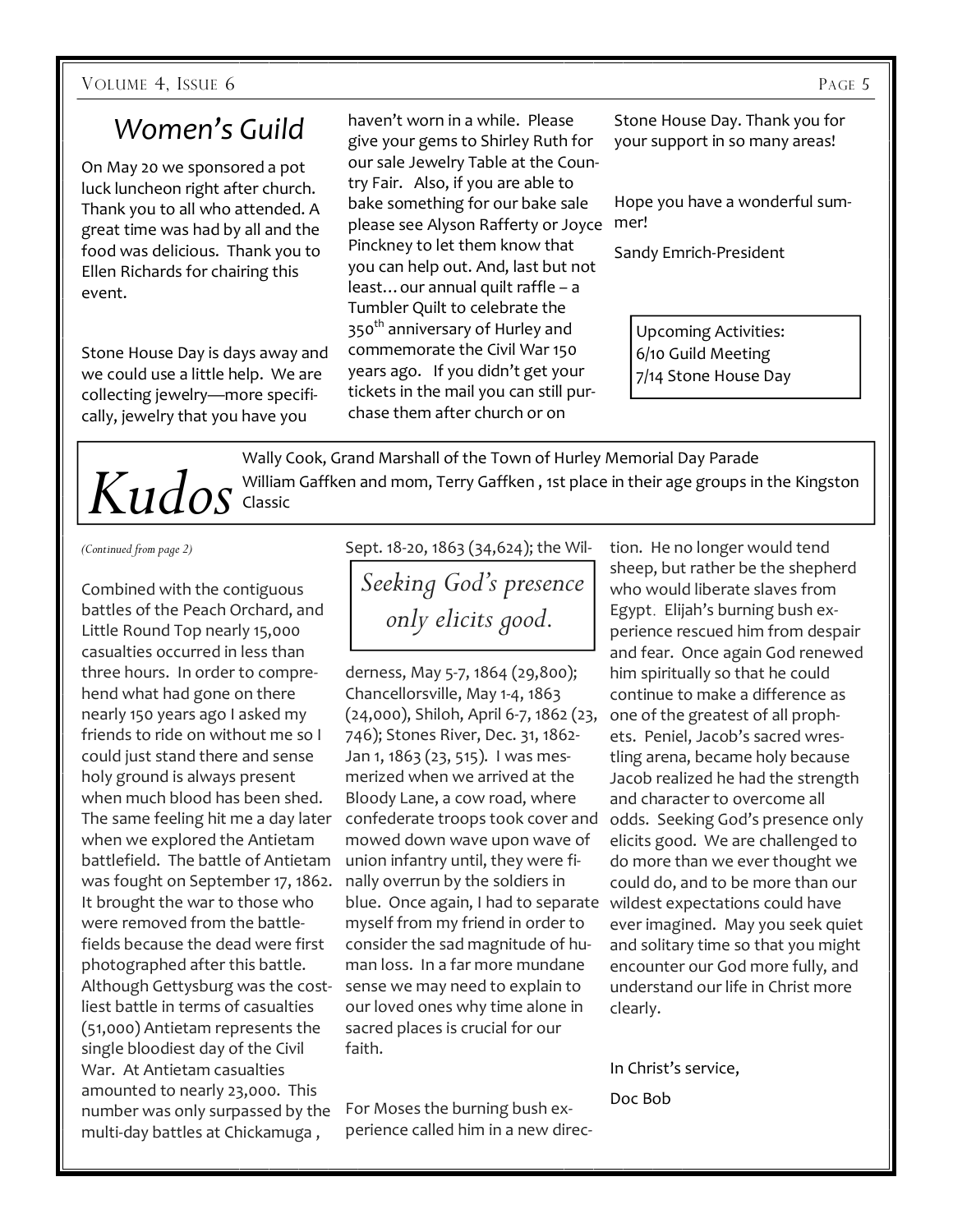## *Women's Guild*

On May 20 we sponsored a pot luck luncheon right after church. Thank you to all who attended. A great time was had by all and the food was delicious. Thank you to Ellen Richards for chairing this event.

Stone House Day is days away and we could use a little help. We are collecting jewelry—more specifically, jewelry that you have you

haven't worn in a while. Please give your gems to Shirley Ruth for our sale Jewelry Table at the Country Fair. Also, if you are able to bake something for our bake sale please see Alyson Rafferty or Joyce mer! Pinckney to let them know that you can help out. And, last but not least…our annual quilt raffle – a Tumbler Quilt to celebrate the 350<sup>th</sup> anniversary of Hurley and commemorate the Civil War 150 years ago. If you didn't get your tickets in the mail you can still purchase them after church or on

Stone House Day. Thank you for your support in so many areas!

Hope you have a wonderful sum-

Sandy Emrich-President

Upcoming Activities: 6/10 Guild Meeting 7/14 Stone House Day

Wally Cook, Grand Marshall of the Town of Hurley Memorial Day Parade  $Kudos$ <sup>William Gaffken and mom, Terry Gaffken , 1st place in their age groups in the Kingston *Kudos*</sup>

*(Continued from page 2)* 

Combined with the contiguous battles of the Peach Orchard, and Little Round Top nearly 15,000 casualties occurred in less than three hours. In order to comprehend what had gone on there nearly 150 years ago I asked my friends to ride on without me so I could just stand there and sense holy ground is always present when much blood has been shed. The same feeling hit me a day later when we explored the Antietam battlefield. The battle of Antietam was fought on September 17, 1862. It brought the war to those who were removed from the battlefields because the dead were first photographed after this battle. Although Gettysburg was the costliest battle in terms of casualties (51,000) Antietam represents the single bloodiest day of the Civil War. At Antietam casualties amounted to nearly 23,000. This number was only surpassed by the multi-day battles at Chickamuga ,

Sept. 18-20, 1863 (34,624); the Wil-

*Seeking God's presence only elicits good.* 

derness, May 5-7, 1864 (29,800); Chancellorsville, May 1-4, 1863 (24,000), Shiloh, April 6-7, 1862 (23, 746); Stones River, Dec. 31, 1862- Jan 1, 1863 (23, 515). I was mesmerized when we arrived at the Bloody Lane, a cow road, where confederate troops took cover and mowed down wave upon wave of union infantry until, they were finally overrun by the soldiers in blue. Once again, I had to separate myself from my friend in order to consider the sad magnitude of human loss. In a far more mundane sense we may need to explain to our loved ones why time alone in sacred places is crucial for our faith.

For Moses the burning bush experience called him in a new direc-

tion. He no longer would tend sheep, but rather be the shepherd who would liberate slaves from Egypt. Elijah's burning bush experience rescued him from despair and fear. Once again God renewed him spiritually so that he could continue to make a difference as one of the greatest of all prophets. Peniel, Jacob's sacred wrestling arena, became holy because Jacob realized he had the strength and character to overcome all odds. Seeking God's presence only elicits good. We are challenged to do more than we ever thought we could do, and to be more than our wildest expectations could have ever imagined. May you seek quiet and solitary time so that you might encounter our God more fully, and understand our life in Christ more clearly.

In Christ's service, Doc Bob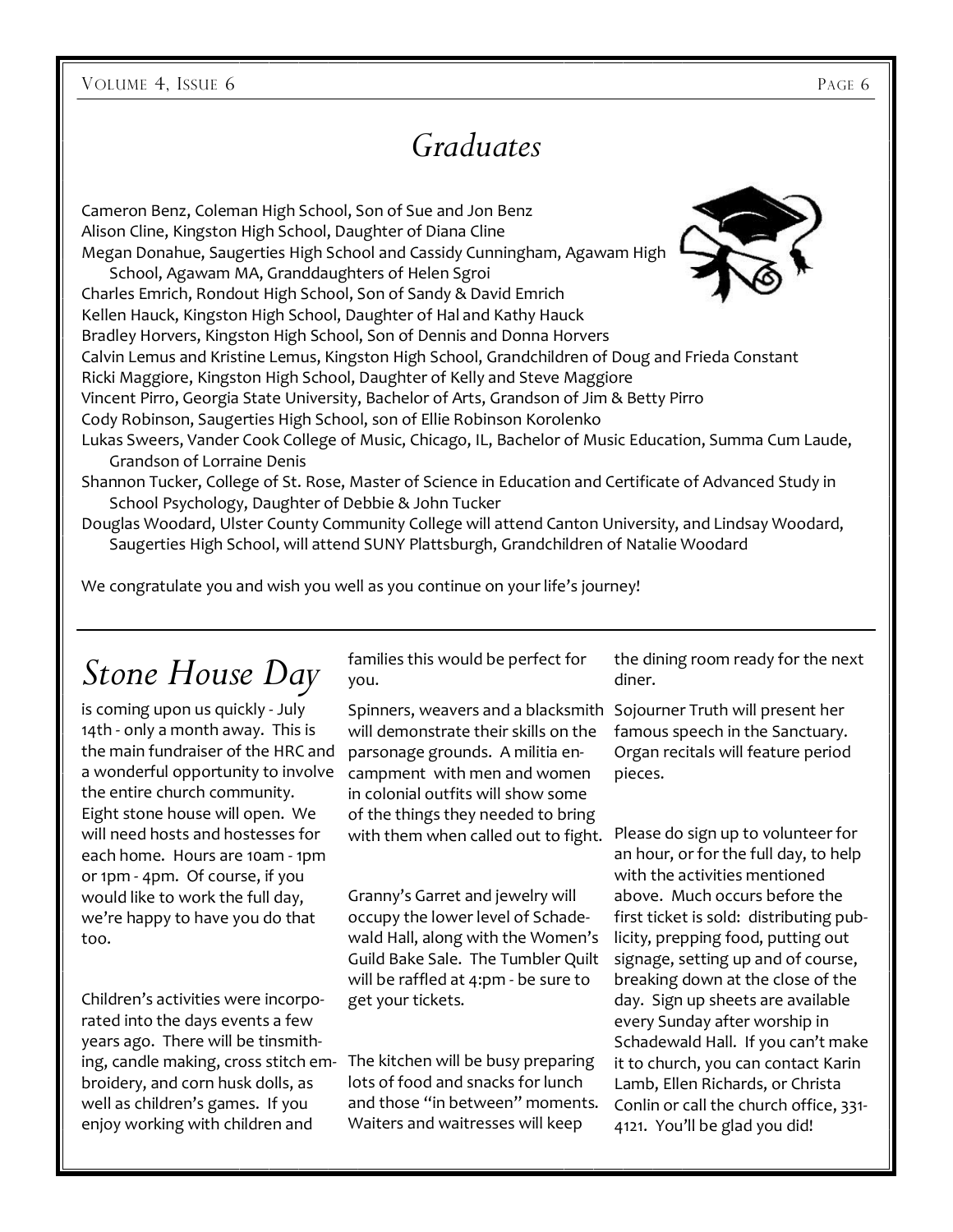VOLUME 4, ISSUE 6 PAGE 6

# *Graduates*

Cameron Benz, Coleman High School, Son of Sue and Jon Benz Alison Cline, Kingston High School, Daughter of Diana Cline Megan Donahue, Saugerties High School and Cassidy Cunningham, Agawam High

School, Agawam MA, Granddaughters of Helen Sgroi Charles Emrich, Rondout High School, Son of Sandy & David Emrich Kellen Hauck, Kingston High School, Daughter of Hal and Kathy Hauck Bradley Horvers, Kingston High School, Son of Dennis and Donna Horvers Calvin Lemus and Kristine Lemus, Kingston High School, Grandchildren of Doug and Frieda Constant Ricki Maggiore, Kingston High School, Daughter of Kelly and Steve Maggiore Vincent Pirro, Georgia State University, Bachelor of Arts, Grandson of Jim & Betty Pirro Cody Robinson, Saugerties High School, son of Ellie Robinson Korolenko Lukas Sweers, Vander Cook College of Music, Chicago, IL, Bachelor of Music Education, Summa Cum Laude, Grandson of Lorraine Denis Shannon Tucker, College of St. Rose, Master of Science in Education and Certificate of Advanced Study in

School Psychology, Daughter of Debbie & John Tucker

Douglas Woodard, Ulster County Community College will attend Canton University, and Lindsay Woodard, Saugerties High School, will attend SUNY Plattsburgh, Grandchildren of Natalie Woodard

We congratulate you and wish you well as you continue on your life's journey!

# *Stone House Day*

is coming upon us quickly - July 14th - only a month away. This is the main fundraiser of the HRC and a wonderful opportunity to involve the entire church community. Eight stone house will open. We will need hosts and hostesses for each home. Hours are 10am - 1pm or 1pm - 4pm. Of course, if you would like to work the full day, we're happy to have you do that too.

Children's activities were incorporated into the days events a few years ago. There will be tinsmithing, candle making, cross stitch em-The kitchen will be busy preparing broidery, and corn husk dolls, as well as children's games. If you enjoy working with children and

families this would be perfect for you.

Spinners, weavers and a blacksmith Sojourner Truth will present her will demonstrate their skills on the parsonage grounds. A militia encampment with men and women in colonial outfits will show some of the things they needed to bring with them when called out to fight. Please do sign up to volunteer for

Granny's Garret and jewelry will occupy the lower level of Schadewald Hall, along with the Women's Guild Bake Sale. The Tumbler Quilt will be raffled at 4:pm - be sure to get your tickets.

lots of food and snacks for lunch and those "in between" moments. Waiters and waitresses will keep

the dining room ready for the next diner.

famous speech in the Sanctuary. Organ recitals will feature period pieces.

an hour, or for the full day, to help with the activities mentioned above. Much occurs before the first ticket is sold: distributing publicity, prepping food, putting out signage, setting up and of course, breaking down at the close of the day. Sign up sheets are available every Sunday after worship in Schadewald Hall. If you can't make it to church, you can contact Karin Lamb, Ellen Richards, or Christa Conlin or call the church office, 331- 4121. You'll be glad you did!

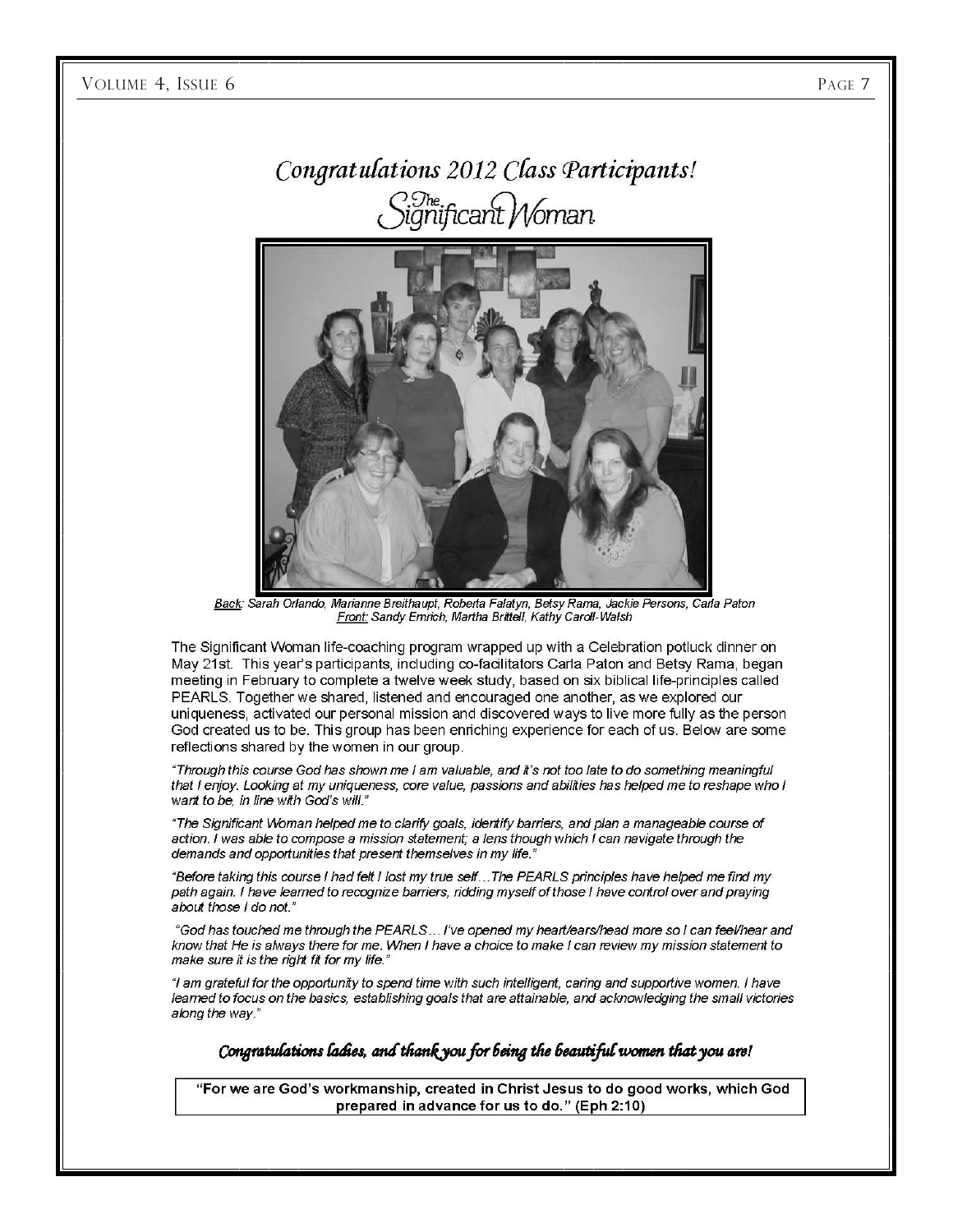# Congratulations 2012 Class Participants! icant Woman.



Back: Sarah Orlando, Marianne Breithaupt, Roberta Falatyn, Betsy Rama, Jackie Persons, Carla Paton Front: Sandy Emrich, Martha Brittell, Kathy Caroll-Walsh

The Significant Woman life-coaching program wrapped up with a Celebration potluck dinner on May 21st. This year's participants, including co-facilitators Carla Paton and Betsy Rama, began meeting in February to complete a twelve week study, based on six biblical life-principles called PEARLS. Together we shared, listened and encouraged one another, as we explored our uniqueness, activated our personal mission and discovered ways to live more fully as the person God created us to be. This group has been enriching experience for each of us. Below are some reflections shared by the women in our group.

"Through this course God has shown me I am valuable, and it's not too late to do something meaningful that I enjoy. Looking at my uniqueness, core value, passions and abilities has helped me to reshape who I want to be, in line with God's will."

"The Significant Woman helped me to clarify goals, identify barriers, and plan a manageable course of action. I was able to compose a mission statement; a lens though which I can navigate through the demands and opportunities that present themselves in my life.

"Before taking this course I had felt I lost my true self...The PEARLS principles have helped me find my path again. I have learned to recognize barriers, ridding myself of those I have control over and praying about those I do not."

"God has touched me through the PEARLS... I've opened my heart/ears/head more so I can feel/hear and know that He is always there for me. When I have a choice to make I can review my mission statement to make sure it is the right fit for my life."

"I am grateful for the opportunity to spend time with such intelligent, caring and supportive women. I have learned to focus on the basics, establishing goals that are attainable, and acknowledging the small victories along the way."

Congratulations ladies, and thank you for being the beautiful women that you are!

"For we are God's workmanship, created in Christ Jesus to do good works, which God prepared in advance for us to do." (Eph 2:10)